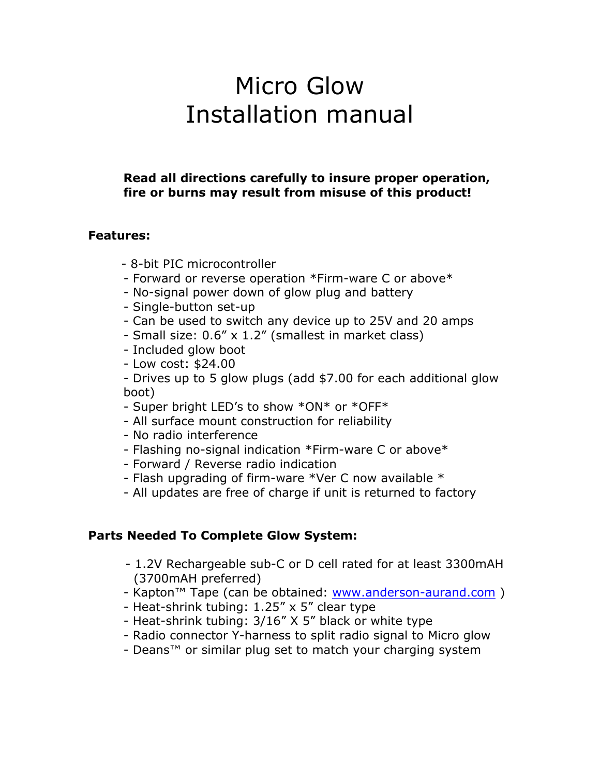# Micro Glow Installation manual

### **Read all directions carefully to insure proper operation, fire or burns may result from misuse of this product!**

#### **Features:**

- 8-bit PIC microcontroller
- Forward or reverse operation \*Firm-ware C or above\*
- No-signal power down of glow plug and battery
- Single-button set-up
- Can be used to switch any device up to 25V and 20 amps
- Small size: 0.6" x 1.2" (smallest in market class)
- Included glow boot
- Low cost: \$24.00
- Drives up to 5 glow plugs (add \$7.00 for each additional glow boot)
- Super bright LED's to show \*ON\* or \*OFF\*
- All surface mount construction for reliability
- No radio interference
- Flashing no-signal indication \*Firm-ware C or above\*
- Forward / Reverse radio indication
- Flash upgrading of firm-ware \*Ver C now available \*
- All updates are free of charge if unit is returned to factory

#### **Parts Needed To Complete Glow System:**

- 1.2V Rechargeable sub-C or D cell rated for at least 3300mAH (3700mAH preferred)
- Kapton™ Tape (can be obtained: www.anderson-aurand.com )
- Heat-shrink tubing: 1.25" x 5" clear type
- Heat-shrink tubing: 3/16" X 5" black or white type
- Radio connector Y-harness to split radio signal to Micro glow
- Deans™ or similar plug set to match your charging system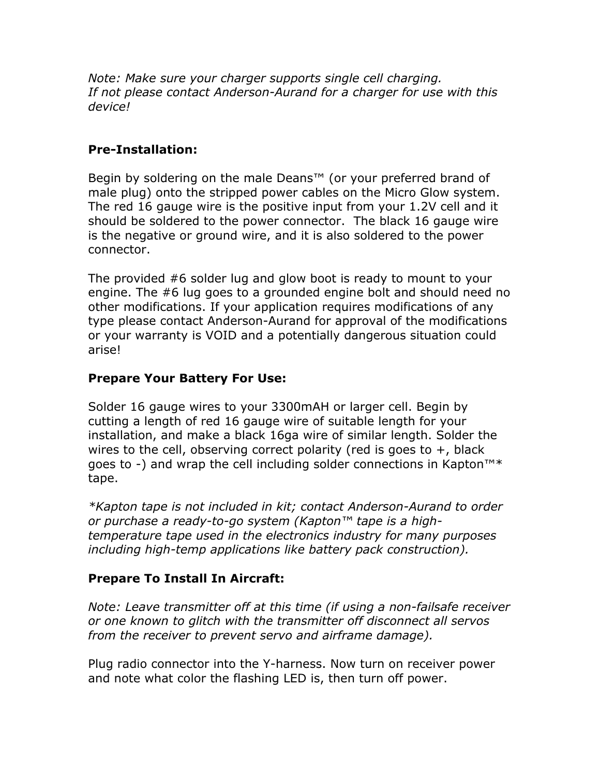*Note: Make sure your charger supports single cell charging. If not please contact Anderson-Aurand for a charger for use with this device!* 

# **Pre-Installation:**

Begin by soldering on the male Deans<sup>™</sup> (or your preferred brand of male plug) onto the stripped power cables on the Micro Glow system. The red 16 gauge wire is the positive input from your 1.2V cell and it should be soldered to the power connector. The black 16 gauge wire is the negative or ground wire, and it is also soldered to the power connector.

The provided #6 solder lug and glow boot is ready to mount to your engine. The #6 lug goes to a grounded engine bolt and should need no other modifications. If your application requires modifications of any type please contact Anderson-Aurand for approval of the modifications or your warranty is VOID and a potentially dangerous situation could arise!

## **Prepare Your Battery For Use:**

Solder 16 gauge wires to your 3300mAH or larger cell. Begin by cutting a length of red 16 gauge wire of suitable length for your installation, and make a black 16ga wire of similar length. Solder the wires to the cell, observing correct polarity (red is goes to  $+$ , black goes to -) and wrap the cell including solder connections in Kapton™\* tape.

*\*Kapton tape is not included in kit; contact Anderson-Aurand to order or purchase a ready-to-go system (Kapton™ tape is a hightemperature tape used in the electronics industry for many purposes including high-temp applications like battery pack construction).* 

# **Prepare To Install In Aircraft:**

*Note: Leave transmitter off at this time (if using a non-failsafe receiver or one known to glitch with the transmitter off disconnect all servos from the receiver to prevent servo and airframe damage).* 

Plug radio connector into the Y-harness. Now turn on receiver power and note what color the flashing LED is, then turn off power.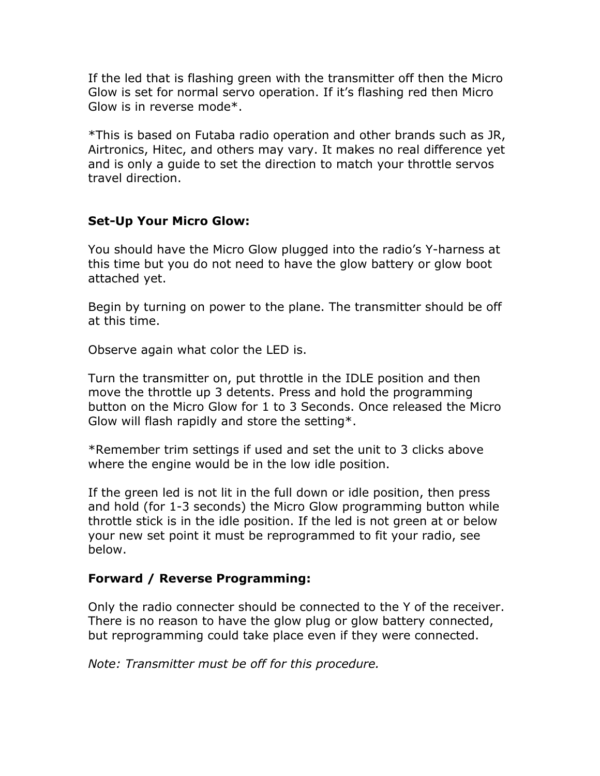If the led that is flashing green with the transmitter off then the Micro Glow is set for normal servo operation. If it's flashing red then Micro Glow is in reverse mode\*.

\*This is based on Futaba radio operation and other brands such as JR, Airtronics, Hitec, and others may vary. It makes no real difference yet and is only a guide to set the direction to match your throttle servos travel direction.

## **Set-Up Your Micro Glow:**

You should have the Micro Glow plugged into the radio's Y-harness at this time but you do not need to have the glow battery or glow boot attached yet.

Begin by turning on power to the plane. The transmitter should be off at this time.

Observe again what color the LED is.

Turn the transmitter on, put throttle in the IDLE position and then move the throttle up 3 detents. Press and hold the programming button on the Micro Glow for 1 to 3 Seconds. Once released the Micro Glow will flash rapidly and store the setting\*.

\*Remember trim settings if used and set the unit to 3 clicks above where the engine would be in the low idle position.

If the green led is not lit in the full down or idle position, then press and hold (for 1-3 seconds) the Micro Glow programming button while throttle stick is in the idle position. If the led is not green at or below your new set point it must be reprogrammed to fit your radio, see below.

#### **Forward / Reverse Programming:**

Only the radio connecter should be connected to the Y of the receiver. There is no reason to have the glow plug or glow battery connected, but reprogramming could take place even if they were connected.

*Note: Transmitter must be off for this procedure.*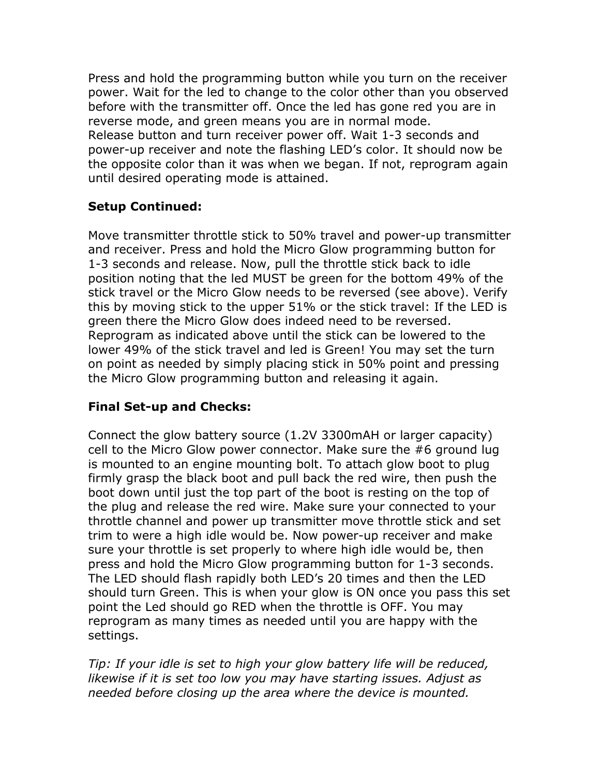Press and hold the programming button while you turn on the receiver power. Wait for the led to change to the color other than you observed before with the transmitter off. Once the led has gone red you are in reverse mode, and green means you are in normal mode. Release button and turn receiver power off. Wait 1-3 seconds and power-up receiver and note the flashing LED's color. It should now be the opposite color than it was when we began. If not, reprogram again until desired operating mode is attained.

# **Setup Continued:**

Move transmitter throttle stick to 50% travel and power-up transmitter and receiver. Press and hold the Micro Glow programming button for 1-3 seconds and release. Now, pull the throttle stick back to idle position noting that the led MUST be green for the bottom 49% of the stick travel or the Micro Glow needs to be reversed (see above). Verify this by moving stick to the upper 51% or the stick travel: If the LED is green there the Micro Glow does indeed need to be reversed. Reprogram as indicated above until the stick can be lowered to the lower 49% of the stick travel and led is Green! You may set the turn on point as needed by simply placing stick in 50% point and pressing the Micro Glow programming button and releasing it again.

## **Final Set-up and Checks:**

Connect the glow battery source (1.2V 3300mAH or larger capacity) cell to the Micro Glow power connector. Make sure the #6 ground lug is mounted to an engine mounting bolt. To attach glow boot to plug firmly grasp the black boot and pull back the red wire, then push the boot down until just the top part of the boot is resting on the top of the plug and release the red wire. Make sure your connected to your throttle channel and power up transmitter move throttle stick and set trim to were a high idle would be. Now power-up receiver and make sure your throttle is set properly to where high idle would be, then press and hold the Micro Glow programming button for 1-3 seconds. The LED should flash rapidly both LED's 20 times and then the LED should turn Green. This is when your glow is ON once you pass this set point the Led should go RED when the throttle is OFF. You may reprogram as many times as needed until you are happy with the settings.

*Tip: If your idle is set to high your glow battery life will be reduced, likewise if it is set too low you may have starting issues. Adjust as needed before closing up the area where the device is mounted.*